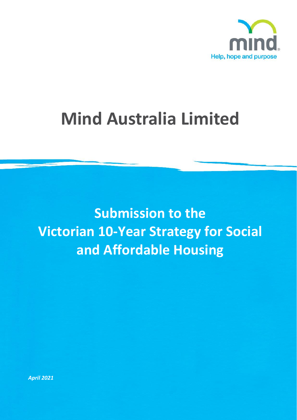

# **Mind Australia Limited**

**Submission to the Victorian 10-Year Strategy for Social and Affordable Housing**

*April 2021*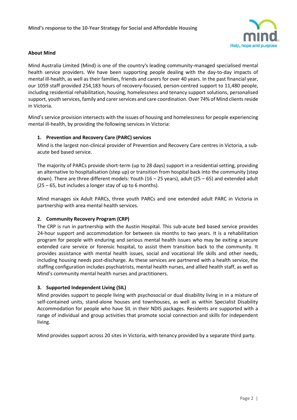

## **About Mind**

Mind Australia Limited (Mind) is one of the country's leading community-managed specialised mental health service providers. We have been supporting people dealing with the day-to-day impacts of mental ill-health, as well as their families, friends and carers for over 40 years. In the past financial year, our 1059 staff provided 254,183 hours of recovery-focused, person-centred support to 11,480 people, including residential rehabilitation, housing, homelessness and tenancy support solutions, personalised support, youth services, family and carer services and care coordination. Over 74% of Mind clients reside in Victoria.

Mind's service provision intersects with the issues of housing and homelessness for people experiencing mental ill-health, by providing the following services in Victoria:

## **1. Prevention and Recovery Care (PARC) services**

Mind is the largest non-clinical provider of Prevention and Recovery Care centres in Victoria, a subacute bed based service.

The majority of PARCs provide short-term (up to 28 days) support in a residential setting, providing an alternative to hospitalisation (step up) or transition from hospital back into the community (step down). There are three different models: Youth (16 – 25 years), adult (25 – 65) and extended adult (25 – 65, but includes a longer stay of up to 6 months).

Mind manages six Adult PARCs, three youth PARCs and one extended adult PARC in Victoria in partnership with area mental health services.

#### **2. Community Recovery Program (CRP)**

The CRP is run in partnership with the Austin Hospital. This sub-acute bed based service provides 24-hour support and accommodation for between six months to two years. It is a rehabilitation program for people with enduring and serious mental health issues who may be exiting a secure extended care service or forensic hospital, to assist them transition back to the community. It provides assistance with mental health issues, social and vocational life skills and other needs, including housing needs post-discharge. As these services are partnered with a health service, the staffing configuration includes psychiatrists, mental health nurses, and allied health staff, as well as Mind's community mental health nurses and practitioners.

#### **3. Supported Independent Living (SIL)**

Mind provides support to people living with psychosocial or dual disability living in in a mixture of self-contained units, stand-alone houses and townhouses, as well as within Specialist Disability Accommodation for people who have SIL in their NDIS packages. Residents are supported with a range of individual and group activities that promote social connection and skills for independent living.

Mind provides support across 20 sites in Victoria, with tenancy provided by a separate third party.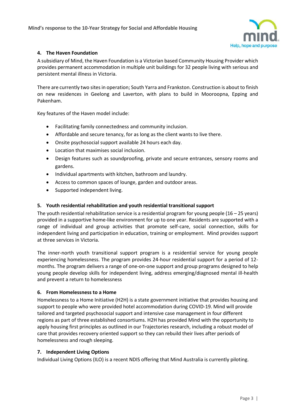

# **4. The Haven Foundation**

A subsidiary of Mind, the Haven Foundation is a Victorian based Community Housing Provider which provides permanent accommodation in multiple unit buildings for 32 people living with serious and persistent mental illness in Victoria.

There are currently two sites in operation; South Yarra and Frankston. Construction is about to finish on new residences in Geelong and Laverton, with plans to build in Mooroopna, Epping and Pakenham.

Key features of the Haven model include:

- Facilitating family connectedness and community inclusion.
- Affordable and secure tenancy, for as long as the client wants to live there.
- Onsite psychosocial support available 24 hours each day.
- Location that maximises social inclusion.
- Design features such as soundproofing, private and secure entrances, sensory rooms and gardens.
- Individual apartments with kitchen, bathroom and laundry.
- Access to common spaces of lounge, garden and outdoor areas.
- Supported independent living.

#### **5. Youth residential rehabilitation and youth residential transitional support**

The youth residential rehabilitation service is a residential program for young people  $(16 - 25$  years) provided in a supportive home-like environment for up to one year. Residents are supported with a range of individual and group activities that promote self-care, social connection, skills for independent living and participation in education, training or employment. Mind provides support at three services in Victoria.

The inner-north youth transitional support program is a residential service for young people experiencing homelessness. The program provides 24-hour residential support for a period of 12 months. The program delivers a range of one-on-one support and group programs designed to help young people develop skills for independent living, address emerging/diagnosed mental ill-health and prevent a return to homelessness

#### **6. From Homelessness to a Home**

Homelessness to a Home Initiative (H2H) is a state government initiative that provides housing and support to people who were provided hotel accommodation during COVID-19. Mind will provide tailored and targeted psychosocial support and intensive case management in four different regions as part of three established consortiums. H2H has provided Mind with the opportunity to apply housing first principles as outlined in our Trajectories research, including a robust model of care that provides recovery oriented support so they can rebuild their lives after periods of homelessness and rough sleeping.

#### **7. Independent Living Options**

Individual Living Options (ILO) is a recent NDIS offering that Mind Australia is currently piloting.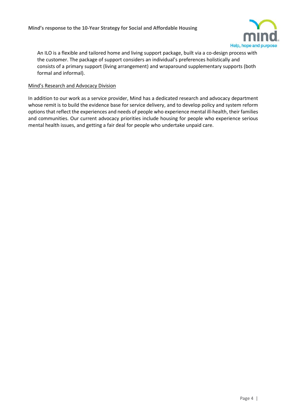

An ILO is a flexible and tailored home and living support package, built via a co-design process with the customer. The package of support considers an individual's preferences holistically and consists of a primary support (living arrangement) and wraparound supplementary supports (both formal and informal).

#### Mind's Research and Advocacy Division

In addition to our work as a service provider, Mind has a dedicated research and advocacy department whose remit is to build the evidence base for service delivery, and to develop policy and system reform options that reflect the experiences and needs of people who experience mental ill-health, their families and communities. Our current advocacy priorities include housing for people who experience serious mental health issues, and getting a fair deal for people who undertake unpaid care.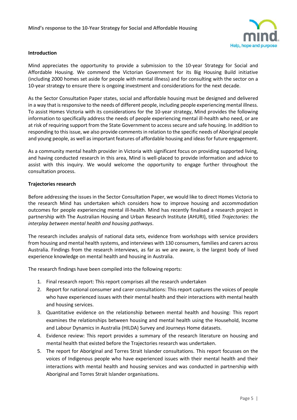

#### **Introduction**

Mind appreciates the opportunity to provide a submission to the 10-year Strategy for Social and Affordable Housing. We commend the Victorian Government for its Big Housing Build initiative (including 2000 homes set aside for people with mental illness) and for consulting with the sector on a 10-year strategy to ensure there is ongoing investment and considerations for the next decade.

As the Sector Consultation Paper states, social and affordable housing must be designed and delivered in a way that is responsive to the needs of different people, including people experiencing mental illness. To assist Homes Victoria with its considerations for the 10-year strategy, Mind provides the following information to specifically address the needs of people experiencing mental ill-health who need, or are at risk of requiring support from the State Government to access secure and safe housing. In addition to responding to this issue, we also provide comments in relation to the specific needs of Aboriginal people and young people, as well as important features of affordable housing and ideas for future engagement.

As a community mental health provider in Victoria with significant focus on providing supported living, and having conducted research in this area, Mind is well-placed to provide information and advice to assist with this inquiry. We would welcome the opportunity to engage further throughout the consultation process.

## **Trajectories research**

Before addressing the issues in the Sector Consultation Paper, we would like to direct Homes Victoria to the research Mind has undertaken which considers how to improve housing and accommodation outcomes for people experiencing mental ill-health. Mind has recently finalised a research project in partnership with The Australian Housing and Urban Research Institute (AHURI), titled *Trajectories*: *the interplay between mental health and housing pathways*.

The research includes analysis of national data sets, evidence from workshops with service providers from housing and mental health systems, and interviews with 130 consumers, families and carers across Australia. Findings from the research interviews, as far as we are aware, is the largest body of lived experience knowledge on mental health and housing in Australia.

The research findings have been compiled into the following reports:

- 1. Final research report: This report comprises all the research undertaken
- 2. Report for national consumer and carer consultations: This report captures the voices of people who have experienced issues with their mental health and their interactions with mental health and housing services.
- 3. Quantitative evidence on the relationship between mental health and housing: This report examines the relationships between housing and mental health using the Household, Income and Labour Dynamics in Australia (HILDA) Survey and Journeys Home datasets.
- 4. Evidence review: This report provides a summary of the research literature on housing and mental health that existed before the Trajectories research was undertaken.
- 5. The report for Aboriginal and Torres Strait Islander consultations. This report focusses on the voices of Indigenous people who have experienced issues with their mental health and their interactions with mental health and housing services and was conducted in partnership with Aboriginal and Torres Strait Islander organisations.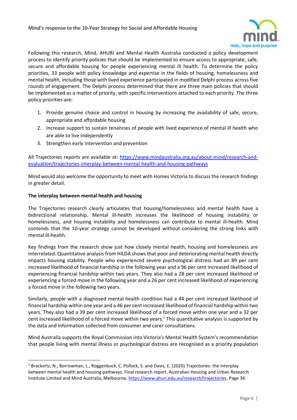

Following this research, Mind, AHURI and Mental Health Australia conducted a policy development process to identify priority policies that should be implemented to ensure access to appropriate, safe, secure and affordable housing for people experiencing mental ill health. To determine the policy priorities, 33 people with policy knowledge and expertise in the fields of housing, homelessness and mental health, including those with lived experience participated in modified Delphi process across five rounds of engagement. The Delphi process determined that there are three main policies that should be implemented as a matter of priority, with specific interventions attached to each priority. The three policy priorities are:

- 1. Provide genuine choice and control in housing by increasing the availability of safe, secure, appropriate and affordable housing
- 2. Increase support to sustain tenancies of people with lived experience of mental ill health who are able to live independently
- 3. Strengthen early intervention and prevention

All Trajectories reports are available at: [https://www.mindaustralia.org.au/about-mind/research-and](https://www.mindaustralia.org.au/about-mind/research-and-evaluation/trajectories-interplay-between-mental-health-and-housing-pathways)[evaluation/trajectories-interplay-between-mental-health-and-housing-pathways](https://www.mindaustralia.org.au/about-mind/research-and-evaluation/trajectories-interplay-between-mental-health-and-housing-pathways)

Mind would also welcome the opportunity to meet with Homes Victoria to discuss the research findings in greater detail.

## **The interplay between mental health and housing**

 $\overline{a}$ 

The Trajectories research clearly articulates that housing/homelessness and mental health have a bidirectional relationship. Mental ill-health increases the likelihood of housing instability or homelessness, and housing instability and homelessness can contribute to mental ill-health. Mind contends that the 10-year strategy cannot be developed without considering the strong links with mental ill-health.

Key findings from the research show just how closely mental health, housing and homelessness are interrelated. Quantitative analysis from HILDA shows that poor and deteriorating mental health directly impacts housing stability. People who experienced severe psychological distress had an 89 per cent increased likelihood of financial hardship in the following year and a 96 per cent increased likelihood of experiencing financial hardship within two years. They also had a 28 per cent increased likelihood of experiencing a forced move in the following year and a 26 per cent increased likelihood of experiencing a forced move in the following two years.

Similarly, people with a diagnosed mental health condition had a 44 per cent increased likelihood of financial hardship within one year and a 46 per cent increased likelihood of financial hardship within two years. They also had a 39 per cent increased likelihood of a forced move within one year and a 32 per cent increased likelihood of a forced move within two years.<sup>1</sup> This quantitative analysis is supported by the data and information collected from consumer and carer consultations.

Mind Australia supports the Royal Commission into Victoria's Mental Health System's recommendation that people living with mental illness or psychological distress are recognised as a priority population

<sup>&</sup>lt;sup>1</sup> Brackertz, N., Borrowman, L., Roggenbuck, C. Pollock, S. and Davis, E. (2020) Trajectories: the interplay between mental health and housing pathways. Final research report, Australian Housing and Urban Research Institute Limited and Mind Australia, Melbourne, [https://www.ahuri.edu.au/research/trajectories.](https://www.ahuri.edu.au/research/trajectories) Page 34.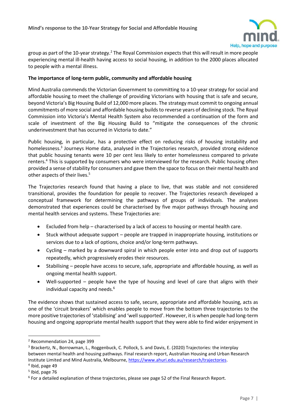

group as part of the 10-year strategy.<sup>2</sup> The Royal Commission expects that this will result in more people experiencing mental ill-health having access to social housing, in addition to the 2000 places allocated to people with a mental illness.

## **The importance of long-term public, community and affordable housing**

Mind Australia commends the Victorian Government to committing to a 10-year strategy for social and affordable housing to meet the challenge of providing Victorians with housing that is safe and secure, beyond Victoria's Big Housing Build of 12,000 more places. The strategy must commit to ongoing annual commitments of more social and affordable housing builds to reverse years of declining stock. The Royal Commission into Victoria's Mental Health System also recommended a continuation of the form and scale of investment of the Big Housing Build to "mitigate the consequences of the chronic underinvestment that has occurred in Victoria to date."

Public housing, in particular, has a protective effect on reducing risks of housing instability and homelessness.<sup>3</sup> Journeys Home data, analysed in the Trajectories research, provided strong evidence that public housing tenants were 10 per cent less likely to enter homelessness compared to private renters. <sup>4</sup> This is supported by consumers who were interviewed for the research. Public housing often provided a sense of stability for consumers and gave them the space to focus on their mental health and other aspects of their lives.<sup>5</sup>

The Trajectories research found that having a place to live, that was stable and not considered transitional, provides the foundation for people to recover. The Trajectories research developed a conceptual framework for determining the pathways of groups of individuals. The analyses demonstrated that experiences could be characterised by five major pathways through housing and mental health services and systems. These Trajectories are:

- Excluded from help characterised by a lack of access to housing or mental health care.
- Stuck without adequate support people are trapped in inappropriate housing, institutions or services due to a lack of options, choice and/or long-term pathways.
- Cycling marked by a downward spiral in which people enter into and drop out of supports repeatedly, which progressively erodes their resources.
- Stabilising people have access to secure, safe, appropriate and affordable housing, as well as ongoing mental health support.
- Well-supported people have the type of housing and level of care that aligns with their individual capacity and needs.<sup>6</sup>

The evidence shows that sustained access to safe, secure, appropriate and affordable housing, acts as one of the 'circuit breakers' which enables people to move from the bottom three trajectories to the more positive trajectories of 'stabilising' and 'well supported'. However, it is when people had long-term housing and ongoing appropriate mental health support that they were able to find wider enjoyment in

 $\overline{a}$ 

<sup>2</sup> Recommendation 24, page 399

<sup>3</sup> Brackertz, N., Borrowman, L., Roggenbuck, C. Pollock, S. and Davis, E. (2020) Trajectories: the interplay between mental health and housing pathways. Final research report, Australian Housing and Urban Research Institute Limited and Mind Australia, Melbourne, [https://www.ahuri.edu.au/research/trajectories.](https://www.ahuri.edu.au/research/trajectories)

<sup>4</sup> Ibid, page 49

<sup>5</sup> Ibid, page 76

<sup>&</sup>lt;sup>6</sup> For a detailed explanation of these trajectories, please see page 52 of the Final Research Report.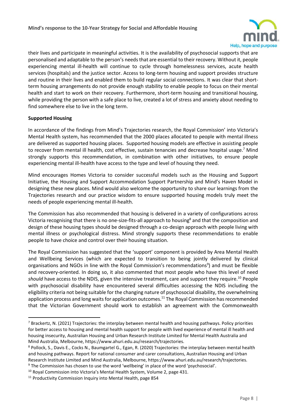

their lives and participate in meaningful activities. It is the availability of psychosocial supports that are personalised and adaptable to the person's needs that are essential to their recovery. Without it, people experiencing mental ill-health will continue to cycle through homelessness services, acute health services (hospitals) and the justice sector. Access to long-term housing and support provides structure and routine in their lives and enabled them to build regular social connections. It was clear that shortterm housing arrangements do not provide enough stability to enable people to focus on their mental health and start to work on their recovery. Furthermore, short-term housing and transitional housing, while providing the person with a safe place to live, created a lot of stress and anxiety about needing to find somewhere else to live in the long term.

# **Supported Housing**

 $\overline{a}$ 

In accordance of the findings from Mind's Trajectories research, the Royal Commission' into Victoria's Mental Health system, has recommended that the 2000 places allocated to people with mental illness are delivered as supported housing places. Supported housing models are effective in assisting people to recover from mental ill health, cost effective, sustain tenancies and decrease hospital usage.<sup>7</sup> Mind strongly supports this recommendation, in combination with other initiatives, to ensure people experiencing mental ill-health have access to the type and level of housing they need.

Mind encourages Homes Victoria to consider successful models such as the Housing and Support Initiative, the Housing and Support Accommodation Support Partnership and Mind's Haven Model in designing these new places. Mind would also welcome the opportunity to share our learnings from the Trajectories research and our practice wisdom to ensure supported housing models truly meet the needs of people experiencing mental ill-health.

The Commission has also recommended that housing is delivered in a variety of configurations across Victoria recognising that there is no one-size-fits-all approach to housing<sup>8</sup> and that the composition and design of these housing types should be designed through a co-design approach with people living with mental illness or psychological distress. Mind strongly supports these recommendations to enable people to have choice and control over their housing situation.

The Royal Commission has suggested that the 'support' component is provided by Area Mental Health and Wellbeing Services (which are expected to transition to being jointly delivered by clinical organisations and NGOs in line with the Royal Commission's recommendations<sup>9</sup>) and must be flexible and recovery-oriented. In doing so, it also commented that most people who have this level of need *should* have access to the NDIS, given the intensive treatment, care and support they require.<sup>10</sup> People with psychosocial disability have encountered several difficulties accessing the NDIS including the eligibility criteria not being suitable for the changing nature of psychosocial disability, the overwhelming application process and long waits for application outcomes.<sup>11</sup> The Royal Commission has recommended that the Victorian Government should work to establish an agreement with the Commonwealth

 $7$  Brackertz, N. (2021) Trajectories: the interplay between mental health and housing pathways. Policy priorities for better access to housing and mental health support for people with lived experience of mental ill health and housing insecurity, Australian Housing and Urban Research Institute Limited for Mental Health Australia and Mind Australia, Melbourne, https://www.ahuri.edu.au/research/trajectories.

<sup>8</sup> Pollock, S., Davis E., Cocks N., Baumgartel G., Egan, R. (2020) Trajectories: the interplay between mental health and housing pathways. Report for national consumer and carer consultations, Australian Housing and Urban Research Institute Limited and Mind Australia, Melbourne, https://www.ahuri.edu.au/research/trajectories.

<sup>&</sup>lt;sup>9</sup> The Commission has chosen to use the word 'wellbeing' in place of the word 'psychosocial'.

<sup>&</sup>lt;sup>10</sup> Royal Commission into Victoria's Mental Health System, Volume 2, page 431.

<sup>&</sup>lt;sup>11</sup> Productivity Commission Inquiry into Mental Health, page 854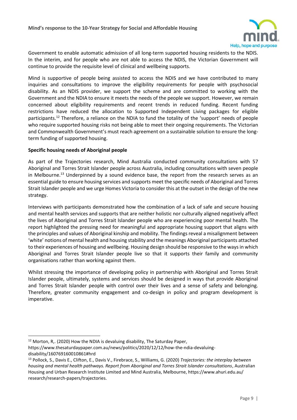

Government to enable automatic admission of all long-term supported housing residents to the NDIS. In the interim, and for people who are not able to access the NDIS, the Victorian Government will continue to provide the requisite level of clinical and wellbeing supports.

Mind is supportive of people being assisted to access the NDIS and we have contributed to many inquiries and consultations to improve the eligibility requirements for people with psychosocial disability. As an NDIS provider, we support the scheme and are committed to working with the Government and the NDIA to ensure it meets the needs of the people we support. However, we remain concerned about eligibility requirements and recent trends in reduced funding. Recent funding restrictions have reduced the allocation to Supported Independent Living packages for eligible participants. <sup>12</sup> Therefore, a reliance on the NDIA to fund the totality of the 'support' needs of people who require supported housing risks not being able to meet their ongoing requirements. The Victorian and Commonwealth Government's must reach agreement on a sustainable solution to ensure the longterm funding of supported housing.

# **Specific housing needs of Aboriginal people**

As part of the Trajectories research, Mind Australia conducted community consultations with 57 Aboriginal and Torres Strait Islander people across Australia, including consultations with seven people in Melbourne.<sup>13</sup> Underpinned by a sound evidence base, the report from the research serves as an essential guide to ensure housing services and supports meet the specific needs of Aboriginal and Torres Strait Islander people and we urge Homes Victoria to consider this at the outset in the design of the new strategy.

Interviews with participants demonstrated how the combination of a lack of safe and secure housing and mental health services and supports that are neither holistic nor culturally aligned negatively affect the lives of Aboriginal and Torres Strait Islander people who are experiencing poor mental health. The report highlighted the pressing need for meaningful and appropriate housing support that aligns with the principles and values of Aboriginal kinship and mobility. The findings reveal a misalignment between 'white' notions of mental health and housing stability and the meanings Aboriginal participants attached to their experiences of housing and wellbeing. Housing design should be responsive to the ways in which Aboriginal and Torres Strait Islander people live so that it supports their family and community organisations rather than working against them.

Whilst stressing the importance of developing policy in partnership with Aboriginal and Torres Strait Islander people, ultimately, systems and services should be designed in ways that provide Aboriginal and Torres Strait Islander people with control over their lives and a sense of safety and belonging. Therefore, greater community engagement and co-design in policy and program development is imperative.

 $\overline{a}$  $12$  Morton, R, (2020) How the NDIA is devaluing disability, The Saturday Paper, https://www.thesaturdaypaper.com.au/news/politics/2020/12/12/how-the-ndia-devaluingdisability/160769160010861#hrd

<sup>13</sup> Pollock, S., Davis E., Clifton, E., Davis V., Firebrace, S., Williams, G. (2020) *Trajectories: the interplay between housing and mental health pathways. Report from Aboriginal and Torres Strait Islander consultations*, Australian Housing and Urban Research Institute Limited and Mind Australia, Melbourne, https://www.ahuri.edu.au/ research/research-papers/trajectories.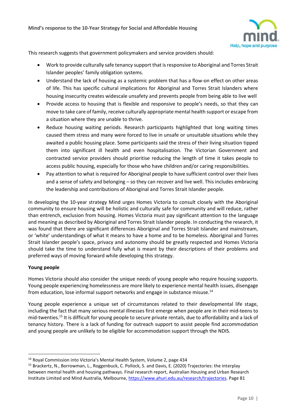

This research suggests that government policymakers and service providers should:

- Work to provide culturally safe tenancy support that is responsive to Aboriginal and Torres Strait Islander peoples' family obligation systems.
- Understand the lack of housing as a systemic problem that has a flow-on effect on other areas of life. This has specific cultural implications for Aboriginal and Torres Strait Islanders where housing insecurity creates widescale unsafety and prevents people from being able to live well
- Provide access to housing that is flexible and responsive to people's needs, so that they can move to take care of family, receive culturally appropriate mental health support or escape from a situation where they are unable to thrive.
- Reduce housing waiting periods. Research participants highlighted that long waiting times caused them stress and many were forced to live in unsafe or unsuitable situations while they awaited a public housing place. Some participants said the stress of their living situation tipped them into significant ill health and even hospitalisation. The Victorian Government and contracted service providers should prioritise reducing the length of time it takes people to access public housing, especially for those who have children and/or caring responsibilities.
- Pay attention to what is required for Aboriginal people to have sufficient control over their lives and a sense of safety and belonging – so they can recover and live well. This includes embracing the leadership and contributions of Aboriginal and Torres Strait Islander people.

In developing the 10-year strategy Mind urges Homes Victoria to consult closely with the Aboriginal community to ensure housing will be holistic and culturally safe for community and will reduce, rather than entrench, exclusion from housing. Homes Victoria must pay significant attention to the language and meaning as described by Aboriginal and Torres Strait Islander people. In conducting the research, it was found that there are significant differences Aboriginal and Torres Strait Islander and mainstream, or 'white' understandings of what it means to have a home and to be homeless. Aboriginal and Torres Strait Islander people's space, privacy and autonomy should be greatly respected and Homes Victoria should take the time to understand fully what is meant by their descriptions of their problems and preferred ways of moving forward while developing this strategy.

# **Young people**

l

Homes Victoria should also consider the unique needs of young people who require housing supports. Young people experiencing homelessness are more likely to experience mental health issues, disengage from education, lose informal support networks and engage in substance misuse.<sup>14</sup>

Young people experience a unique set of circumstances related to their developmental life stage, including the fact that many serious mental illnesses first emerge when people are in their mid-teens to mid-twenties. <sup>15</sup> It is difficult for young people to secure private rentals, due to affordability and a lack of tenancy history. There is a lack of funding for outreach support to assist people find accommodation and young people are unlikely to be eligible for accommodation support through the NDIS.

<sup>14</sup> Royal Commission into Victoria's Mental Health System, Volume 2, page 434

<sup>15</sup> Brackertz, N., Borrowman, L., Roggenbuck, C. Pollock, S. and Davis, E. (2020) Trajectories: the interplay between mental health and housing pathways. Final research report, Australian Housing and Urban Research Institute Limited and Mind Australia, Melbourne, [https://www.ahuri.edu.au/research/trajectories.](https://www.ahuri.edu.au/research/trajectories) Page 81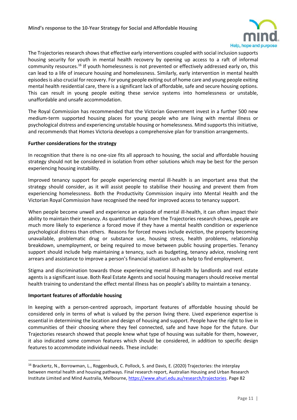

The Trajectories research shows that effective early interventions coupled with social inclusion supports housing security for youth in mental health recovery by opening up access to a raft of informal community resources.<sup>16</sup> If youth homelessness is not prevented or effectively addressed early on, this can lead to a life of insecure housing and homelessness. Similarly, early intervention in mental health episodes is also crucial for recovery. For young people exiting out of home care and young people exiting mental health residential care, there is a significant lack of affordable, safe and secure housing options. This can result in young people exiting these service systems into homelessness or unstable, unaffordable and unsafe accommodation.

The Royal Commission has recommended that the Victorian Government invest in a further 500 new medium-term supported housing places for young people who are living with mental illness or psychological distress and experiencing unstable housing or homelessness. Mind supports this initiative, and recommends that Homes Victoria develops a comprehensive plan for transition arrangements.

## **Further considerations for the strategy**

In recognition that there is no one-size fits all approach to housing, the social and affordable housing strategy should not be considered in isolation from other solutions which may be best for the person experiencing housing instability.

Improved tenancy support for people experiencing mental ill-health is an important area that the strategy should consider, as it will assist people to stabilise their housing and prevent them from experiencing homelessness. Both the Productivity Commission inquiry into Mental Health and the Victorian Royal Commission have recognised the need for improved access to tenancy support.

When people become unwell and experience an episode of mental ill-health, it can often impact their ability to maintain their tenancy. As quantitative data from the Trajectories research shows, people are much more likely to experience a forced move if they have a mental health condition or experience psychological distress than others. Reasons for forced moves include eviction, the property becoming unavailable, problematic drug or substance use, housing stress, health problems, relationship breakdown, unemployment, or being required to move between public housing properties. Tenancy support should include help maintaining a tenancy, such as budgeting, tenancy advice, resolving rent arrears and assistance to improve a person's financial situation such as help to find employment.

Stigma and discrimination towards those experiencing mental ill-health by landlords and real estate agents is a significant issue. Both Real Estate Agents and social housing managers should receive mental health training to understand the effect mental illness has on people's ability to maintain a tenancy.

# **Important features of affordable housing**

 $\overline{a}$ 

In keeping with a person-centred approach, important features of affordable housing should be considered only in terms of what is valued by the person living there. Lived experience expertise is essential in determining the location and design of housing and support. People have the right to live in communities of their choosing where they feel connected, safe and have hope for the future. Our Trajectories research showed that people knew what type of housing was suitable for them, however, it also indicated some common features which should be considered, in addition to specific design features to accommodate individual needs. These include:

<sup>&</sup>lt;sup>16</sup> Brackertz, N., Borrowman, L., Roggenbuck, C. Pollock, S. and Davis, E. (2020) Trajectories: the interplay between mental health and housing pathways. Final research report, Australian Housing and Urban Research Institute Limited and Mind Australia, Melbourne, [https://www.ahuri.edu.au/research/trajectories.](https://www.ahuri.edu.au/research/trajectories) Page 82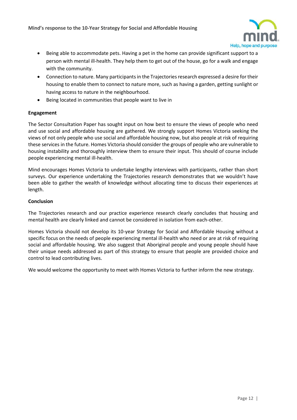

- Being able to accommodate pets. Having a pet in the home can provide significant support to a person with mental ill-health. They help them to get out of the house, go for a walk and engage with the community.
- Connection to nature. Many participants in the Trajectories research expressed a desire for their housing to enable them to connect to nature more, such as having a garden, getting sunlight or having access to nature in the neighbourhood.
- Being located in communities that people want to live in

## **Engagement**

The Sector Consultation Paper has sought input on how best to ensure the views of people who need and use social and affordable housing are gathered. We strongly support Homes Victoria seeking the views of not only people who use social and affordable housing now, but also people at risk of requiring these services in the future. Homes Victoria should consider the groups of people who are vulnerable to housing instability and thoroughly interview them to ensure their input. This should of course include people experiencing mental ill-health.

Mind encourages Homes Victoria to undertake lengthy interviews with participants, rather than short surveys. Our experience undertaking the Trajectories research demonstrates that we wouldn't have been able to gather the wealth of knowledge without allocating time to discuss their experiences at length.

#### **Conclusion**

The Trajectories research and our practice experience research clearly concludes that housing and mental health are clearly linked and cannot be considered in isolation from each-other.

Homes Victoria should not develop its 10-year Strategy for Social and Affordable Housing without a specific focus on the needs of people experiencing mental ill-health who need or are at risk of requiring social and affordable housing. We also suggest that Aboriginal people and young people should have their unique needs addressed as part of this strategy to ensure that people are provided choice and control to lead contributing lives.

We would welcome the opportunity to meet with Homes Victoria to further inform the new strategy.